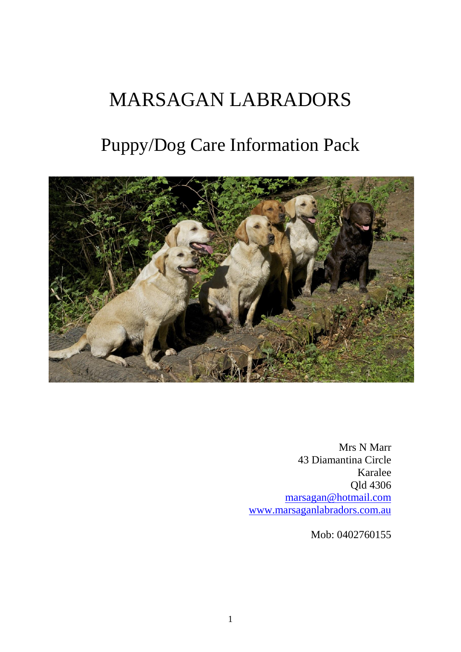# MARSAGAN LABRADORS

# Puppy/Dog Care Information Pack



Mrs N Marr 43 Diamantina Circle Karalee Qld 4306 [marsagan@hotmail.com](mailto:nickymarr@marsaganlabradors.co.uk) [www.marsaganlabradors.com.au](http://www.marsaganlabradors.com.au/)

Mob: 0402760155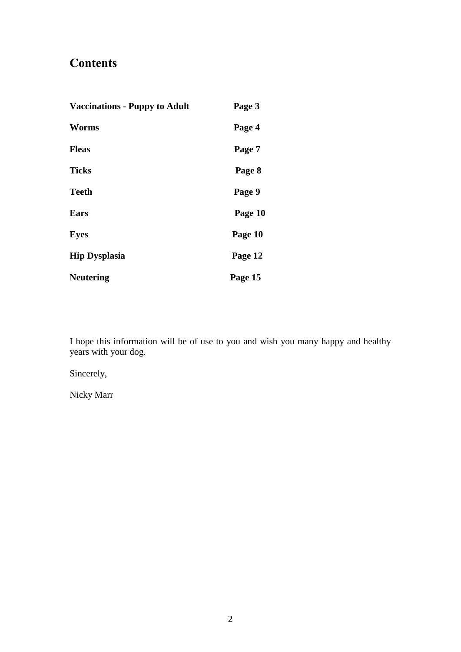# **Contents**

| <b>Vaccinations - Puppy to Adult</b> | Page 3  |
|--------------------------------------|---------|
| Worms                                | Page 4  |
| <b>Fleas</b>                         | Page 7  |
| <b>Ticks</b>                         | Page 8  |
| <b>Teeth</b>                         | Page 9  |
| Ears                                 | Page 10 |
| <b>Eyes</b>                          | Page 10 |
| <b>Hip Dysplasia</b>                 | Page 12 |
| <b>Neutering</b>                     | Page 15 |

I hope this information will be of use to you and wish you many happy and healthy years with your dog.

Sincerely,

Nicky Marr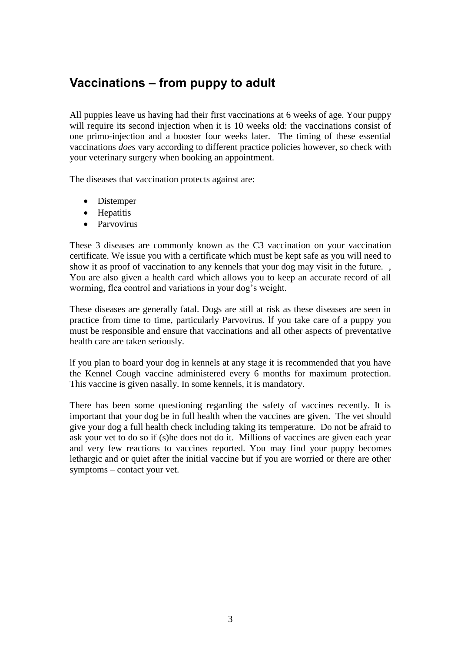# **Vaccinations – from puppy to adult**

All puppies leave us having had their first vaccinations at 6 weeks of age. Your puppy will require its second injection when it is 10 weeks old: the vaccinations consist of one primo-injection and a booster four weeks later. The timing of these essential vaccinations *does* vary according to different practice policies however, so check with your veterinary surgery when booking an appointment.

The diseases that vaccination protects against are:

- Distemper
- Hepatitis
- Parvovirus

These 3 diseases are commonly known as the C3 vaccination on your vaccination certificate. We issue you with a certificate which must be kept safe as you will need to show it as proof of vaccination to any kennels that your dog may visit in the future. , You are also given a health card which allows you to keep an accurate record of all worming, flea control and variations in your dog's weight.

These diseases are generally fatal. Dogs are still at risk as these diseases are seen in practice from time to time, particularly Parvovirus. lf you take care of a puppy you must be responsible and ensure that vaccinations and all other aspects of preventative health care are taken seriously.

lf you plan to board your dog in kennels at any stage it is recommended that you have the Kennel Cough vaccine administered every 6 months for maximum protection. This vaccine is given nasally. In some kennels, it is mandatory.

There has been some questioning regarding the safety of vaccines recently. It is important that your dog be in full health when the vaccines are given. The vet should give your dog a full health check including taking its temperature. Do not be afraid to ask your vet to do so if (s)he does not do it. Millions of vaccines are given each year and very few reactions to vaccines reported. You may find your puppy becomes lethargic and or quiet after the initial vaccine but if you are worried or there are other symptoms – contact your vet.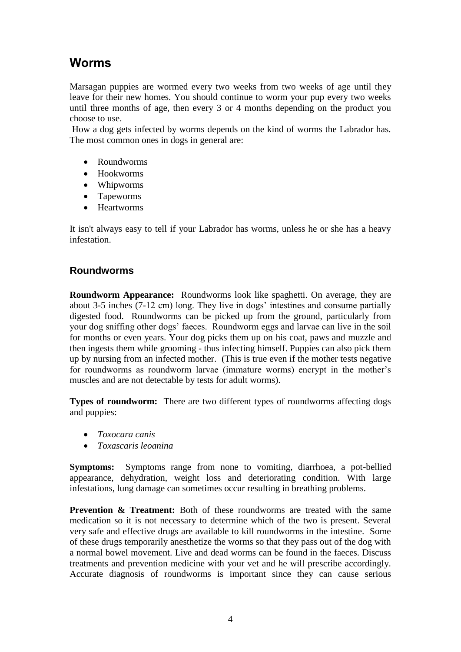## **Worms**

Marsagan puppies are wormed every two weeks from two weeks of age until they leave for their new homes. You should continue to worm your pup every two weeks until three months of age, then every 3 or 4 months depending on the product you choose to use.

How a dog gets infected by worms depends on the kind of worms the Labrador has. The most common ones in dogs in general are:

- Roundworms
- Hookworms
- Whipworms
- Tapeworms
- Heartworms

It isn't always easy to tell if your Labrador has worms, unless he or she has a heavy infestation.

### **Roundworms**

**Roundworm Appearance:** Roundworms look like spaghetti. On average, they are about 3-5 inches (7-12 cm) long. They live in dogs' intestines and consume partially digested food. Roundworms can be picked up from the ground, particularly from your dog sniffing other dogs' faeces. Roundworm eggs and larvae can live in the soil for months or even years. Your dog picks them up on his coat, paws and muzzle and then ingests them while grooming - thus infecting himself. Puppies can also pick them up by nursing from an infected mother. (This is true even if the mother tests negative for roundworms as roundworm larvae (immature worms) encrypt in the mother's muscles and are not detectable by tests for adult worms).

**Types of roundworm:** There are two different types of roundworms affecting dogs and puppies:

- *Toxocara canis*
- *Toxascaris leoanina*

**Symptoms:** Symptoms range from none to vomiting, diarrhoea, a pot-bellied appearance, dehydration, weight loss and deteriorating condition. With large infestations, lung damage can sometimes occur resulting in breathing problems.

**Prevention & Treatment:** Both of these roundworms are treated with the same medication so it is not necessary to determine which of the two is present. Several very safe and effective drugs are available to kill roundworms in the intestine. Some of these drugs temporarily anesthetize the worms so that they pass out of the dog with a normal bowel movement. Live and dead worms can be found in the faeces. Discuss treatments and prevention medicine with your vet and he will prescribe accordingly. Accurate diagnosis of roundworms is important since they can cause serious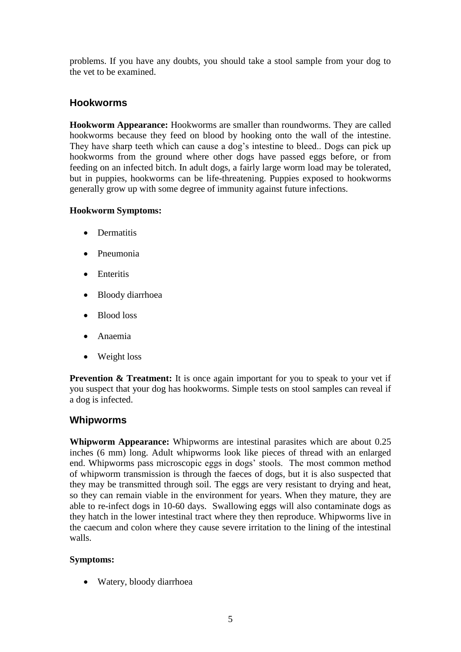problems. If you have any doubts, you should take a stool sample from your dog to the vet to be examined.

### **Hookworms**

**Hookworm Appearance:** Hookworms are smaller than roundworms. They are called hookworms because they feed on blood by hooking onto the wall of the intestine. They have sharp teeth which can cause a dog's intestine to bleed.. Dogs can pick up hookworms from the ground where other dogs have passed eggs before, or from feeding on an infected bitch. In adult dogs, a fairly large worm load may be tolerated, but in puppies, hookworms can be life-threatening. Puppies exposed to hookworms generally grow up with some degree of immunity against future infections.

### **Hookworm Symptoms:**

- Dermatitis
- **•** Pneumonia
- **Enteritis**
- Bloody diarrhoea
- Blood loss
- Anaemia
- Weight loss

**Prevention & Treatment:** It is once again important for you to speak to your vet if you suspect that your dog has hookworms. Simple tests on stool samples can reveal if a dog is infected.

### **Whipworms**

**Whipworm Appearance:** Whipworms are intestinal parasites which are about 0.25 inches (6 mm) long. Adult whipworms look like pieces of thread with an enlarged end. Whipworms pass microscopic eggs in dogs' stools. The most common method of whipworm transmission is through the faeces of dogs, but it is also suspected that they may be transmitted through soil. The eggs are very resistant to drying and heat, so they can remain viable in the environment for years. When they mature, they are able to re-infect dogs in 10-60 days. Swallowing eggs will also contaminate dogs as they hatch in the lower intestinal tract where they then reproduce. Whipworms live in the caecum and colon where they cause severe irritation to the lining of the intestinal walls.

### **Symptoms:**

• Watery, bloody diarrhoea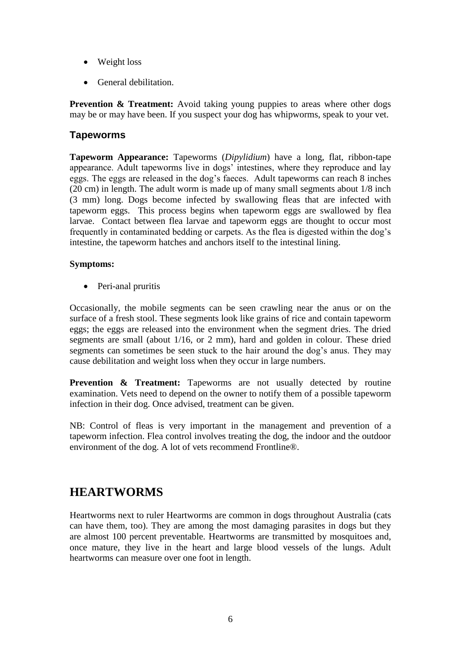- Weight loss
- General debilitation.

**Prevention & Treatment:** Avoid taking young puppies to areas where other dogs may be or may have been. If you suspect your dog has whipworms, speak to your vet.

### **Tapeworms**

**Tapeworm Appearance:** Tapeworms (*Dipylidium*) have a long, flat, ribbon-tape appearance. Adult tapeworms live in dogs' intestines, where they reproduce and lay eggs. The eggs are released in the dog's faeces. Adult tapeworms can reach 8 inches (20 cm) in length. The adult worm is made up of many small segments about 1/8 inch (3 mm) long. Dogs become infected by swallowing fleas that are infected with tapeworm eggs. This process begins when tapeworm eggs are swallowed by flea larvae. Contact between flea larvae and tapeworm eggs are thought to occur most frequently in contaminated bedding or carpets. As the flea is digested within the dog's intestine, the tapeworm hatches and anchors itself to the intestinal lining.

### **Symptoms:**

• Peri-anal pruritis

Occasionally, the mobile segments can be seen crawling near the anus or on the surface of a fresh stool. These segments look like grains of rice and contain tapeworm eggs; the eggs are released into the environment when the segment dries. The dried segments are small (about 1/16, or 2 mm), hard and golden in colour. These dried segments can sometimes be seen stuck to the hair around the dog's anus. They may cause debilitation and weight loss when they occur in large numbers.

**Prevention & Treatment:** Tapeworms are not usually detected by routine examination. Vets need to depend on the owner to notify them of a possible tapeworm infection in their dog. Once advised, treatment can be given.

NB: Control of fleas is very important in the management and prevention of a tapeworm infection. Flea control involves treating the dog, the indoor and the outdoor environment of the dog. A lot of vets recommend Frontline®.

### **HEARTWORMS**

Heartworms next to ruler Heartworms are common in dogs throughout Australia (cats can have them, too). They are among the most damaging parasites in dogs but they are almost 100 percent preventable. Heartworms are transmitted by mosquitoes and, once mature, they live in the heart and large blood vessels of the lungs. Adult heartworms can measure over one foot in length.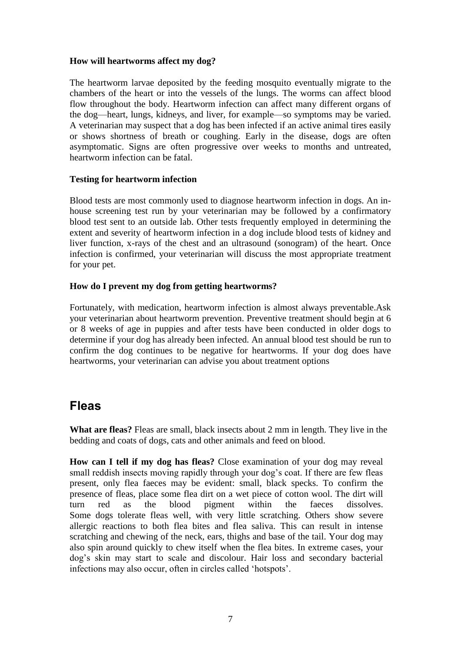#### **How will heartworms affect my dog?**

The heartworm larvae deposited by the feeding mosquito eventually migrate to the chambers of the heart or into the vessels of the lungs. The worms can affect blood flow throughout the body. Heartworm infection can affect many different organs of the dog—heart, lungs, kidneys, and liver, for example—so symptoms may be varied. A veterinarian may suspect that a dog has been infected if an active animal tires easily or shows shortness of breath or coughing. Early in the disease, dogs are often asymptomatic. Signs are often progressive over weeks to months and untreated, heartworm infection can be fatal.

### **Testing for heartworm infection**

Blood tests are most commonly used to diagnose heartworm infection in dogs. An inhouse screening test run by your veterinarian may be followed by a confirmatory blood test sent to an outside lab. Other tests frequently employed in determining the extent and severity of heartworm infection in a dog include blood tests of kidney and liver function, x-rays of the chest and an ultrasound (sonogram) of the heart. Once infection is confirmed, your veterinarian will discuss the most appropriate treatment for your pet.

### **How do I prevent my dog from getting heartworms?**

Fortunately, with medication, heartworm infection is almost always preventable.Ask your veterinarian about heartworm prevention. Preventive treatment should begin at 6 or 8 weeks of age in puppies and after tests have been conducted in older dogs to determine if your dog has already been infected. An annual blood test should be run to confirm the dog continues to be negative for heartworms. If your dog does have heartworms, your veterinarian can advise you about treatment options

### **Fleas**

**What are fleas?** Fleas are small, black insects about 2 mm in length. They live in the bedding and coats of dogs, cats and other animals and feed on blood.

**How can I tell if my dog has fleas?** Close examination of your dog may reveal small reddish insects moving rapidly through your dog's coat. If there are few fleas present, only flea faeces may be evident: small, black specks. To confirm the presence of fleas, place some flea dirt on a wet piece of cotton wool. The dirt will turn red as the blood pigment within the faeces dissolves. Some dogs tolerate fleas well, with very little scratching. Others show severe allergic reactions to both flea bites and flea saliva. This can result in intense scratching and chewing of the neck, ears, thighs and base of the tail. Your dog may also spin around quickly to chew itself when the flea bites. In extreme cases, your dog's skin may start to scale and discolour. Hair loss and secondary bacterial infections may also occur, often in circles called 'hotspots'.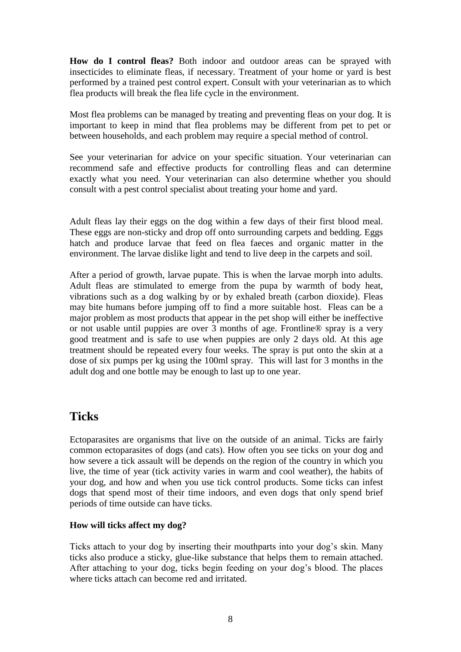**How do I control fleas?** Both indoor and outdoor areas can be sprayed with insecticides to eliminate fleas, if necessary. Treatment of your home or yard is best performed by a trained pest control expert. Consult with your veterinarian as to which flea products will break the flea life cycle in the environment.

Most flea problems can be managed by treating and preventing fleas on your dog. It is important to keep in mind that flea problems may be different from pet to pet or between households, and each problem may require a special method of control.

See your veterinarian for advice on your specific situation. Your veterinarian can recommend safe and effective products for controlling fleas and can determine exactly what you need. Your veterinarian can also determine whether you should consult with a pest control specialist about treating your home and yard.

Adult fleas lay their eggs on the dog within a few days of their first blood meal. These eggs are non-sticky and drop off onto surrounding carpets and bedding. Eggs hatch and produce larvae that feed on flea faeces and organic matter in the environment. The larvae dislike light and tend to live deep in the carpets and soil.

After a period of growth, larvae pupate. This is when the larvae morph into adults. Adult fleas are stimulated to emerge from the pupa by warmth of body heat, vibrations such as a dog walking by or by exhaled breath (carbon dioxide). Fleas may bite humans before jumping off to find a more suitable host. Fleas can be a major problem as most products that appear in the pet shop will either be ineffective or not usable until puppies are over 3 months of age. Frontline® spray is a very good treatment and is safe to use when puppies are only 2 days old. At this age treatment should be repeated every four weeks. The spray is put onto the skin at a dose of six pumps per kg using the 100ml spray. This will last for 3 months in the adult dog and one bottle may be enough to last up to one year.

### **Ticks**

Ectoparasites are organisms that live on the outside of an animal. Ticks are fairly common ectoparasites of dogs (and cats). How often you see ticks on your dog and how severe a tick assault will be depends on the region of the country in which you live, the time of year (tick activity varies in warm and cool weather), the habits of your dog, and how and when you use tick control products. Some ticks can infest dogs that spend most of their time indoors, and even dogs that only spend brief periods of time outside can have ticks.

### **How will ticks affect my dog?**

Ticks attach to your dog by inserting their mouthparts into your dog's skin. Many ticks also produce a sticky, glue-like substance that helps them to remain attached. After attaching to your dog, ticks begin feeding on your dog's blood. The places where ticks attach can become red and irritated.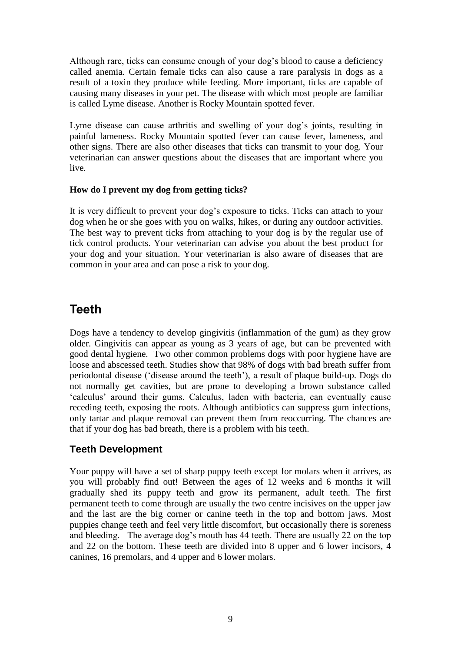Although rare, ticks can consume enough of your dog's blood to cause a deficiency called anemia. Certain female ticks can also cause a rare paralysis in dogs as a result of a toxin they produce while feeding. More important, ticks are capable of causing many diseases in your pet. The disease with which most people are familiar is called Lyme disease. Another is Rocky Mountain spotted fever.

Lyme disease can cause arthritis and swelling of your dog's joints, resulting in painful lameness. Rocky Mountain spotted fever can cause fever, lameness, and other signs. There are also other diseases that ticks can transmit to your dog. Your veterinarian can answer questions about the diseases that are important where you live.

### **How do I prevent my dog from getting ticks?**

It is very difficult to prevent your dog's exposure to ticks. Ticks can attach to your dog when he or she goes with you on walks, hikes, or during any outdoor activities. The best way to prevent ticks from attaching to your dog is by the regular use of tick control products. Your veterinarian can advise you about the best product for your dog and your situation. Your veterinarian is also aware of diseases that are common in your area and can pose a risk to your dog.

## **Teeth**

Dogs have a tendency to develop gingivitis (inflammation of the gum) as they grow older. Gingivitis can appear as young as 3 years of age, but can be prevented with good dental hygiene. Two other common problems dogs with poor hygiene have are loose and abscessed teeth. Studies show that 98% of dogs with bad breath suffer from periodontal disease ('disease around the teeth'), a result of plaque build-up. Dogs do not normally get cavities, but are prone to developing a brown substance called 'calculus' around their gums. Calculus, laden with bacteria, can eventually cause receding teeth, exposing the roots. Although antibiotics can suppress gum infections, only tartar and plaque removal can prevent them from reoccurring. The chances are that if your dog has bad breath, there is a problem with his teeth.

### **Teeth Development**

Your puppy will have a set of sharp puppy teeth except for molars when it arrives, as you will probably find out! Between the ages of 12 weeks and 6 months it will gradually shed its puppy teeth and grow its permanent, adult teeth. The first permanent teeth to come through are usually the two centre incisives on the upper jaw and the last are the big corner or canine teeth in the top and bottom jaws. Most puppies change teeth and feel very little discomfort, but occasionally there is soreness and bleeding. The average dog's mouth has 44 teeth. There are usually 22 on the top and 22 on the bottom. These teeth are divided into 8 upper and 6 lower incisors, 4 canines, 16 premolars, and 4 upper and 6 lower molars.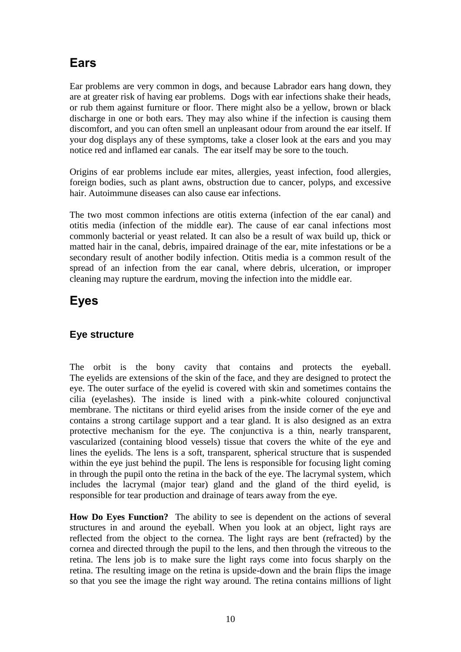# **Ears**

Ear problems are very common in dogs, and because Labrador ears hang down, they are at greater risk of having ear problems. Dogs with ear infections shake their heads, or rub them against furniture or floor. There might also be a yellow, brown or black discharge in one or both ears. They may also whine if the infection is causing them discomfort, and you can often smell an unpleasant odour from around the ear itself. If your dog displays any of these symptoms, take a closer look at the ears and you may notice red and inflamed ear canals. The ear itself may be sore to the touch.

Origins of ear problems include ear mites, allergies, yeast infection, food allergies, foreign bodies, such as plant awns, obstruction due to cancer, polyps, and excessive hair. Autoimmune diseases can also cause ear infections.

The two most common infections are otitis externa (infection of the ear canal) and otitis media (infection of the middle ear). The cause of ear canal infections most commonly bacterial or yeast related. It can also be a result of wax build up, thick or matted hair in the canal, debris, impaired drainage of the ear, mite infestations or be a secondary result of another bodily infection. Otitis media is a common result of the spread of an infection from the ear canal, where debris, ulceration, or improper cleaning may rupture the eardrum, moving the infection into the middle ear.

# **Eyes**

### **Eye structure**

The orbit is the bony cavity that contains and protects the eyeball. The eyelids are extensions of the skin of the face, and they are designed to protect the eye. The outer surface of the eyelid is covered with skin and sometimes contains the cilia (eyelashes). The inside is lined with a pink-white coloured conjunctival membrane. The nictitans or third eyelid arises from the inside corner of the eye and contains a strong cartilage support and a tear gland. It is also designed as an extra protective mechanism for the eye. The conjunctiva is a thin, nearly transparent, vascularized (containing blood vessels) tissue that covers the white of the eye and lines the eyelids. The lens is a soft, transparent, spherical structure that is suspended within the eye just behind the pupil. The lens is responsible for focusing light coming in through the pupil onto the retina in the back of the eye. The lacrymal system, which includes the lacrymal (major tear) gland and the gland of the third eyelid, is responsible for tear production and drainage of tears away from the eye.

**How Do Eyes Function?** The ability to see is dependent on the actions of several structures in and around the eyeball. When you look at an object, light rays are reflected from the object to the cornea. The light rays are bent (refracted) by the cornea and directed through the pupil to the lens, and then through the vitreous to the retina. The lens job is to make sure the light rays come into focus sharply on the retina. The resulting image on the retina is upside-down and the brain flips the image so that you see the image the right way around. The retina contains millions of light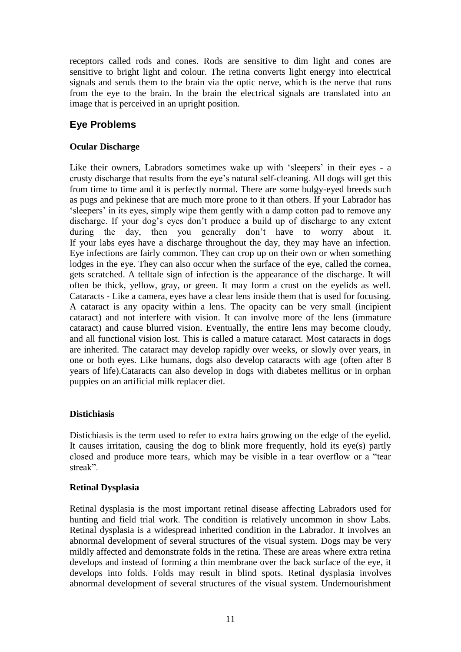receptors called rods and cones. Rods are sensitive to dim light and cones are sensitive to bright light and colour. The retina converts light energy into electrical signals and sends them to the brain via the optic nerve, which is the nerve that runs from the eye to the brain. In the brain the electrical signals are translated into an image that is perceived in an upright position.

### **Eye Problems**

### **Ocular Discharge**

Like their owners, Labradors sometimes wake up with 'sleepers' in their eyes - a crusty discharge that results from the eye's natural self-cleaning. All dogs will get this from time to time and it is perfectly normal. There are some bulgy-eyed breeds such as pugs and pekinese that are much more prone to it than others. If your Labrador has 'sleepers' in its eyes, simply wipe them gently with a damp cotton pad to remove any discharge. If your dog's eyes don't produce a build up of discharge to any extent during the day, then you generally don't have to worry about it. If your labs eyes have a discharge throughout the day, they may have an infection. Eye infections are fairly common. They can crop up on their own or when something lodges in the eye. They can also occur when the surface of the eye, called the cornea, gets scratched. A telltale sign of infection is the appearance of the discharge. It will often be thick, yellow, gray, or green. It may form a crust on the eyelids as well. Cataracts - Like a camera, eyes have a clear lens inside them that is used for focusing. A cataract is any opacity within a lens. The opacity can be very small (incipient cataract) and not interfere with vision. It can involve more of the lens (immature cataract) and cause blurred vision. Eventually, the entire lens may become cloudy, and all functional vision lost. This is called a mature cataract. Most cataracts in dogs are inherited. The cataract may develop rapidly over weeks, or slowly over years, in one or both eyes. Like humans, dogs also develop cataracts with age (often after 8 years of life).Cataracts can also develop in dogs with diabetes mellitus or in orphan puppies on an artificial milk replacer diet.

### **Distichiasis**

Distichiasis is the term used to refer to extra hairs growing on the edge of the eyelid. It causes irritation, causing the dog to blink more frequently, hold its eye(s) partly closed and produce more tears, which may be visible in a tear overflow or a "tear streak".

### **Retinal Dysplasia**

Retinal dysplasia is the most important retinal disease affecting Labradors used for hunting and field trial work. The condition is relatively uncommon in show Labs. Retinal dysplasia is a widespread inherited condition in the Labrador. It involves an abnormal development of several structures of the visual system. Dogs may be very mildly affected and demonstrate folds in the retina. These are areas where extra retina develops and instead of forming a thin membrane over the back surface of the eye, it develops into folds. Folds may result in blind spots. Retinal dysplasia involves abnormal development of several structures of the visual system. Undernourishment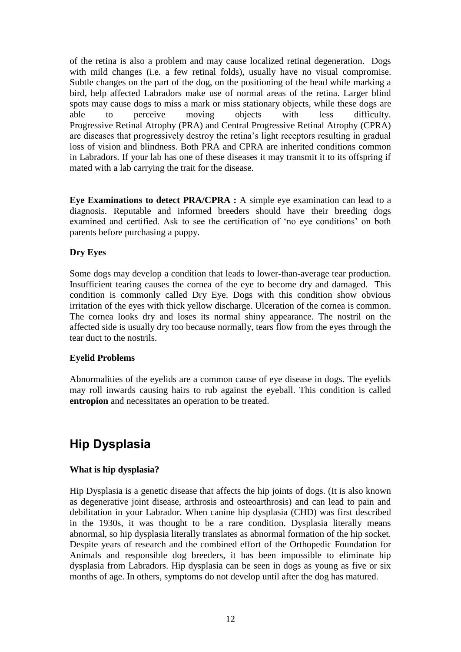of the retina is also a problem and may cause localized retinal degeneration. Dogs with mild changes (i.e. a few retinal folds), usually have no visual compromise. Subtle changes on the part of the dog, on the positioning of the head while marking a bird, help affected Labradors make use of normal areas of the retina. Larger blind spots may cause dogs to miss a mark or miss stationary objects, while these dogs are able to perceive moving objects with less difficulty. Progressive Retinal Atrophy (PRA) and Central Progressive Retinal Atrophy (CPRA) are diseases that progressively destroy the retina's light receptors resulting in gradual loss of vision and blindness. Both PRA and CPRA are inherited conditions common in Labradors. If your lab has one of these diseases it may transmit it to its offspring if mated with a lab carrying the trait for the disease.

**Eye Examinations to detect PRA/CPRA :** A simple eye examination can lead to a diagnosis. Reputable and informed breeders should have their breeding dogs examined and certified. Ask to see the certification of 'no eye conditions' on both parents before purchasing a puppy.

### **Dry Eyes**

Some dogs may develop a condition that leads to lower-than-average tear production. Insufficient tearing causes the cornea of the eye to become dry and damaged. This condition is commonly called Dry Eye. Dogs with this condition show obvious irritation of the eyes with thick yellow discharge. Ulceration of the cornea is common. The cornea looks dry and loses its normal shiny appearance. The nostril on the affected side is usually dry too because normally, tears flow from the eyes through the tear duct to the nostrils.

#### **Eyelid Problems**

Abnormalities of the eyelids are a common cause of eye disease in dogs. The eyelids may roll inwards causing hairs to rub against the eyeball. This condition is called **entropion** and necessitates an operation to be treated.

# **Hip Dysplasia**

#### **What is hip dysplasia?**

Hip Dysplasia is a genetic disease that affects the hip joints of dogs. (It is also known as degenerative joint disease, arthrosis and osteoarthrosis) and can lead to pain and debilitation in your Labrador. When canine hip dysplasia (CHD) was first described in the 1930s, it was thought to be a rare condition. Dysplasia literally means abnormal, so hip dysplasia literally translates as abnormal formation of the hip socket. Despite years of research and the combined effort of the Orthopedic Foundation for Animals and responsible dog breeders, it has been impossible to eliminate hip dysplasia from Labradors. Hip dysplasia can be seen in dogs as young as five or six months of age. In others, symptoms do not develop until after the dog has matured.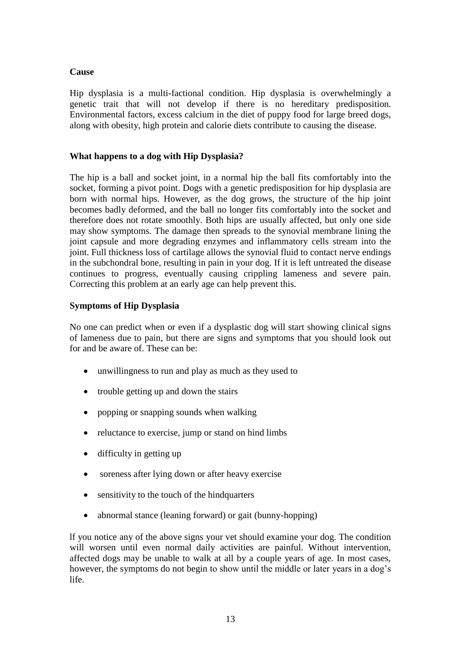#### **Cause**

Hip dysplasia is a multi-factional condition. Hip dysplasia is overwhelmingly a genetic trait that will not develop if there is no hereditary predisposition. Environmental factors, excess calcium in the diet of puppy food for large breed dogs, along with obesity, high protein and calorie diets contribute to causing the disease.

### **What happens to a dog with Hip Dysplasia?**

The hip is a ball and socket joint, in a normal hip the ball fits comfortably into the socket, forming a pivot point. Dogs with a genetic predisposition for hip dysplasia are born with normal hips. However, as the dog grows, the structure of the hip joint becomes badly deformed, and the ball no longer fits comfortably into the socket and therefore does not rotate smoothly. Both hips are usually affected, but only one side may show symptoms. The damage then spreads to the synovial membrane lining the joint capsule and more degrading enzymes and inflammatory cells stream into the joint. Full thickness loss of cartilage allows the synovial fluid to contact nerve endings in the subchondral bone, resulting in pain in your dog. If it is left untreated the disease continues to progress, eventually causing crippling lameness and severe pain. Correcting this problem at an early age can help prevent this.

### **Symptoms of Hip Dysplasia**

No one can predict when or even if a dysplastic dog will start showing clinical signs of lameness due to pain, but there are signs and symptoms that you should look out for and be aware of. These can be:

- unwillingness to run and play as much as they used to
- trouble getting up and down the stairs
- popping or snapping sounds when walking
- reluctance to exercise, jump or stand on hind limbs
- difficulty in getting up
- soreness after lying down or after heavy exercise
- sensitivity to the touch of the hindquarters
- abnormal stance (leaning forward) or gait (bunny-hopping)

lf you notice any of the above signs your vet should examine your dog. The condition will worsen until even normal daily activities are painful. Without intervention, affected dogs may be unable to walk at all by a couple years of age. In most cases, however, the symptoms do not begin to show until the middle or later years in a dog's life.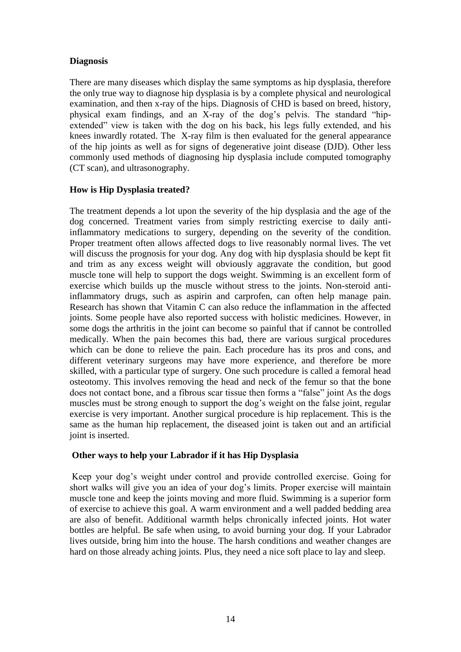### **Diagnosis**

There are many diseases which display the same symptoms as hip dysplasia, therefore the only true way to diagnose hip dysplasia is by a complete physical and neurological examination, and then x-ray of the hips. Diagnosis of CHD is based on breed, history, physical exam findings, and an X-ray of the dog's pelvis. The standard "hipextended" view is taken with the dog on his back, his legs fully extended, and his knees inwardly rotated. The X-ray film is then evaluated for the general appearance of the hip joints as well as for signs of degenerative joint disease (DJD). Other less commonly used methods of diagnosing hip dysplasia include computed tomography (CT scan), and ultrasonography.

### **How is Hip Dysplasia treated?**

The treatment depends a lot upon the severity of the hip dysplasia and the age of the dog concerned. Treatment varies from simply restricting exercise to daily antiinflammatory medications to surgery, depending on the severity of the condition. Proper treatment often allows affected dogs to live reasonably normal lives. The vet will discuss the prognosis for your dog. Any dog with hip dysplasia should be kept fit and trim as any excess weight will obviously aggravate the condition, but good muscle tone will help to support the dogs weight. Swimming is an excellent form of exercise which builds up the muscle without stress to the joints. Non-steroid antiinflammatory drugs, such as aspirin and carprofen, can often help manage pain. Research has shown that Vitamin C can also reduce the inflammation in the affected joints. Some people have also reported success with holistic medicines. However, in some dogs the arthritis in the joint can become so painful that if cannot be controlled medically. When the pain becomes this bad, there are various surgical procedures which can be done to relieve the pain. Each procedure has its pros and cons, and different veterinary surgeons may have more experience, and therefore be more skilled, with a particular type of surgery. One such procedure is called a femoral head osteotomy. This involves removing the head and neck of the femur so that the bone does not contact bone, and a fibrous scar tissue then forms a "false" joint As the dogs muscles must be strong enough to support the dog's weight on the false joint, regular exercise is very important. Another surgical procedure is hip replacement. This is the same as the human hip replacement, the diseased joint is taken out and an artificial joint is inserted.

### **Other ways to help your Labrador if it has Hip Dysplasia**

Keep your dog's weight under control and provide controlled exercise. Going for short walks will give you an idea of your dog's limits. Proper exercise will maintain muscle tone and keep the joints moving and more fluid. Swimming is a superior form of exercise to achieve this goal. A warm environment and a well padded bedding area are also of benefit. Additional warmth helps chronically infected joints. Hot water bottles are helpful. Be safe when using, to avoid burning your dog. If your Labrador lives outside, bring him into the house. The harsh conditions and weather changes are hard on those already aching joints. Plus, they need a nice soft place to lay and sleep.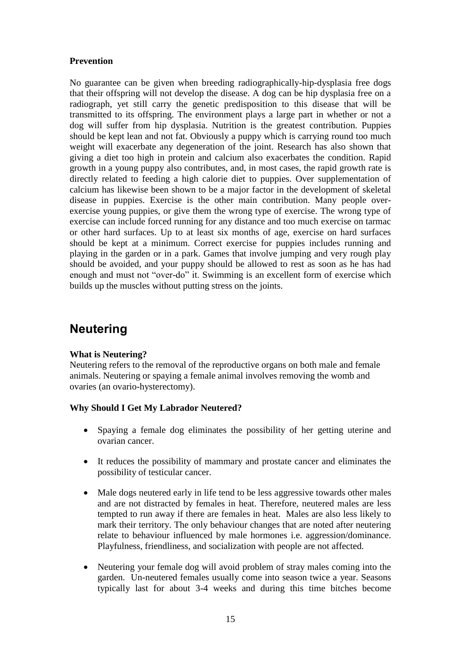### **Prevention**

No guarantee can be given when breeding radiographically-hip-dysplasia free dogs that their offspring will not develop the disease. A dog can be hip dysplasia free on a radiograph, yet still carry the genetic predisposition to this disease that will be transmitted to its offspring. The environment plays a large part in whether or not a dog will suffer from hip dysplasia. Nutrition is the greatest contribution. Puppies should be kept lean and not fat. Obviously a puppy which is carrying round too much weight will exacerbate any degeneration of the joint. Research has also shown that giving a diet too high in protein and calcium also exacerbates the condition. Rapid growth in a young puppy also contributes, and, in most cases, the rapid growth rate is directly related to feeding a high calorie diet to puppies. Over supplementation of calcium has likewise been shown to be a major factor in the development of skeletal disease in puppies. Exercise is the other main contribution. Many people overexercise young puppies, or give them the wrong type of exercise. The wrong type of exercise can include forced running for any distance and too much exercise on tarmac or other hard surfaces. Up to at least six months of age, exercise on hard surfaces should be kept at a minimum. Correct exercise for puppies includes running and playing in the garden or in a park. Games that involve jumping and very rough play should be avoided, and your puppy should be allowed to rest as soon as he has had enough and must not "over-do" it. Swimming is an excellent form of exercise which builds up the muscles without putting stress on the joints.

# **Neutering**

### **What is Neutering?**

Neutering refers to the removal of the reproductive organs on both male and female animals. Neutering or spaying a female animal involves removing the womb and ovaries (an ovario-hysterectomy).

#### **Why Should I Get My Labrador Neutered?**

- Spaying a female dog eliminates the possibility of her getting uterine and ovarian cancer.
- It reduces the possibility of mammary and prostate cancer and eliminates the possibility of testicular cancer.
- Male dogs neutered early in life tend to be less aggressive towards other males and are not distracted by females in heat. Therefore, neutered males are less tempted to run away if there are females in heat. Males are also less likely to mark their territory. The only behaviour changes that are noted after neutering relate to behaviour influenced by male hormones i.e. aggression/dominance. Playfulness, friendliness, and socialization with people are not affected.
- Neutering your female dog will avoid problem of stray males coming into the garden. Un-neutered females usually come into season twice a year. Seasons typically last for about 3-4 weeks and during this time bitches become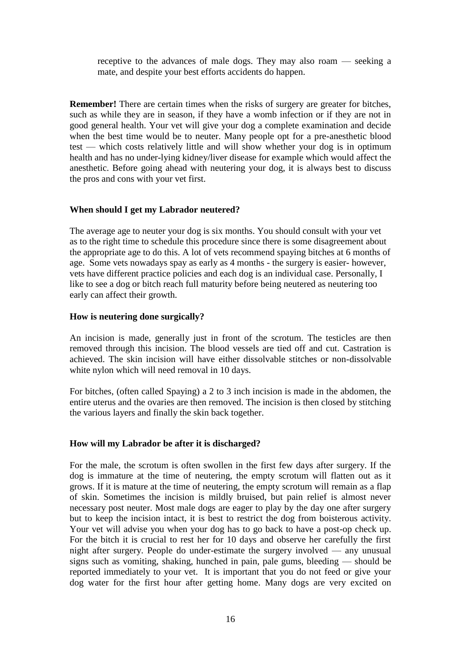receptive to the advances of male dogs. They may also roam — seeking a mate, and despite your best efforts accidents do happen.

**Remember!** There are certain times when the risks of surgery are greater for bitches, such as while they are in season, if they have a womb infection or if they are not in good general health. Your vet will give your dog a complete examination and decide when the best time would be to neuter. Many people opt for a pre-anesthetic blood test — which costs relatively little and will show whether your dog is in optimum health and has no under-lying kidney/liver disease for example which would affect the anesthetic. Before going ahead with neutering your dog, it is always best to discuss the pros and cons with your vet first.

### **When should I get my Labrador neutered?**

The average age to neuter your dog is six months. You should consult with your vet as to the right time to schedule this procedure since there is some disagreement about the appropriate age to do this. A lot of vets recommend spaying bitches at 6 months of age. Some vets nowadays spay as early as 4 months - the surgery is easier- however, vets have different practice policies and each dog is an individual case. Personally, I like to see a dog or bitch reach full maturity before being neutered as neutering too early can affect their growth.

### **How is neutering done surgically?**

An incision is made, generally just in front of the scrotum. The testicles are then removed through this incision. The blood vessels are tied off and cut. Castration is achieved. The skin incision will have either dissolvable stitches or non-dissolvable white nylon which will need removal in 10 days.

For bitches, (often called Spaying) a 2 to 3 inch incision is made in the abdomen, the entire uterus and the ovaries are then removed. The incision is then closed by stitching the various layers and finally the skin back together.

### **How will my Labrador be after it is discharged?**

For the male, the scrotum is often swollen in the first few days after surgery. If the dog is immature at the time of neutering, the empty scrotum will flatten out as it grows. If it is mature at the time of neutering, the empty scrotum will remain as a flap of skin. Sometimes the incision is mildly bruised, but pain relief is almost never necessary post neuter. Most male dogs are eager to play by the day one after surgery but to keep the incision intact, it is best to restrict the dog from boisterous activity. Your vet will advise you when your dog has to go back to have a post-op check up. For the bitch it is crucial to rest her for 10 days and observe her carefully the first night after surgery. People do under-estimate the surgery involved — any unusual signs such as vomiting, shaking, hunched in pain, pale gums, bleeding — should be reported immediately to your vet. It is important that you do not feed or give your dog water for the first hour after getting home. Many dogs are very excited on